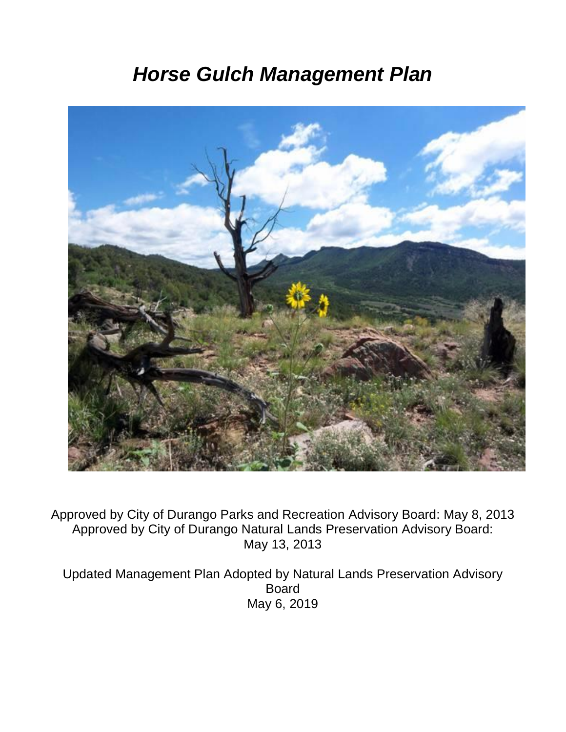# *Horse Gulch Management Plan*



Approved by City of Durango Parks and Recreation Advisory Board: May 8, 2013 Approved by City of Durango Natural Lands Preservation Advisory Board: May 13, 2013

Updated Management Plan Adopted by Natural Lands Preservation Advisory Board May 6, 2019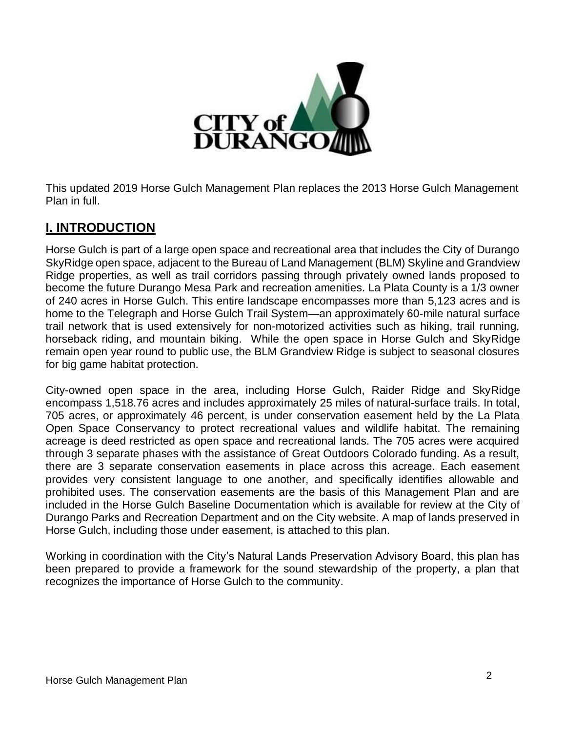

This updated 2019 Horse Gulch Management Plan replaces the 2013 Horse Gulch Management Plan in full.

## **I. INTRODUCTION**

Horse Gulch is part of a large open space and recreational area that includes the City of Durango SkyRidge open space, adjacent to the Bureau of Land Management (BLM) Skyline and Grandview Ridge properties, as well as trail corridors passing through privately owned lands proposed to become the future Durango Mesa Park and recreation amenities. La Plata County is a 1/3 owner of 240 acres in Horse Gulch. This entire landscape encompasses more than 5,123 acres and is home to the Telegraph and Horse Gulch Trail System—an approximately 60-mile natural surface trail network that is used extensively for non-motorized activities such as hiking, trail running, horseback riding, and mountain biking. While the open space in Horse Gulch and SkyRidge remain open year round to public use, the BLM Grandview Ridge is subject to seasonal closures for big game habitat protection.

City-owned open space in the area, including Horse Gulch, Raider Ridge and SkyRidge encompass 1,518.76 acres and includes approximately 25 miles of natural-surface trails. In total, 705 acres, or approximately 46 percent, is under conservation easement held by the La Plata Open Space Conservancy to protect recreational values and wildlife habitat. The remaining acreage is deed restricted as open space and recreational lands. The 705 acres were acquired through 3 separate phases with the assistance of Great Outdoors Colorado funding. As a result, there are 3 separate conservation easements in place across this acreage. Each easement provides very consistent language to one another, and specifically identifies allowable and prohibited uses. The conservation easements are the basis of this Management Plan and are included in the Horse Gulch Baseline Documentation which is available for review at the City of Durango Parks and Recreation Department and on the City website. A map of lands preserved in Horse Gulch, including those under easement, is attached to this plan.

Working in coordination with the City's Natural Lands Preservation Advisory Board, this plan has been prepared to provide a framework for the sound stewardship of the property, a plan that recognizes the importance of Horse Gulch to the community.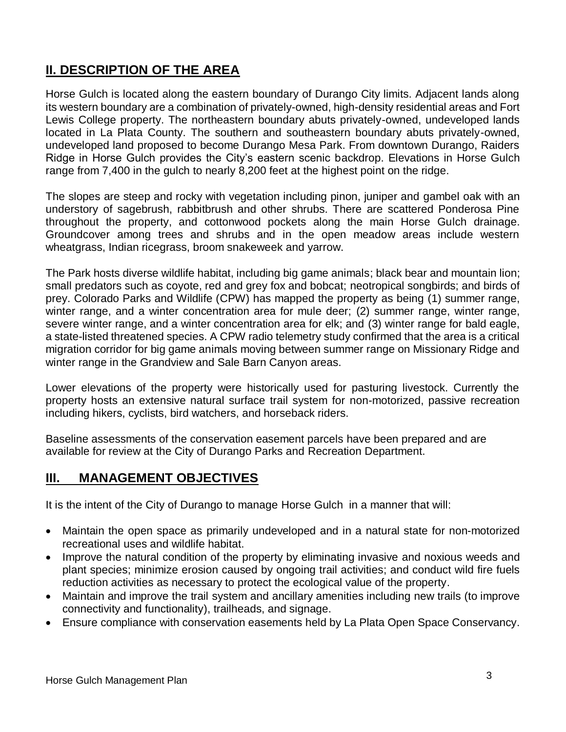# **II. DESCRIPTION OF THE AREA**

Horse Gulch is located along the eastern boundary of Durango City limits. Adjacent lands along its western boundary are a combination of privately-owned, high-density residential areas and Fort Lewis College property. The northeastern boundary abuts privately-owned, undeveloped lands located in La Plata County. The southern and southeastern boundary abuts privately-owned, undeveloped land proposed to become Durango Mesa Park. From downtown Durango, Raiders Ridge in Horse Gulch provides the City's eastern scenic backdrop. Elevations in Horse Gulch range from 7,400 in the gulch to nearly 8,200 feet at the highest point on the ridge.

The slopes are steep and rocky with vegetation including pinon, juniper and gambel oak with an understory of sagebrush, rabbitbrush and other shrubs. There are scattered Ponderosa Pine throughout the property, and cottonwood pockets along the main Horse Gulch drainage. Groundcover among trees and shrubs and in the open meadow areas include western wheatgrass, Indian ricegrass, broom snakeweek and yarrow.

The Park hosts diverse wildlife habitat, including big game animals; black bear and mountain lion; small predators such as coyote, red and grey fox and bobcat; neotropical songbirds; and birds of prey. Colorado Parks and Wildlife (CPW) has mapped the property as being (1) summer range, winter range, and a winter concentration area for mule deer; (2) summer range, winter range, severe winter range, and a winter concentration area for elk; and (3) winter range for bald eagle, a state-listed threatened species. A CPW radio telemetry study confirmed that the area is a critical migration corridor for big game animals moving between summer range on Missionary Ridge and winter range in the Grandview and Sale Barn Canyon areas.

Lower elevations of the property were historically used for pasturing livestock. Currently the property hosts an extensive natural surface trail system for non-motorized, passive recreation including hikers, cyclists, bird watchers, and horseback riders.

Baseline assessments of the conservation easement parcels have been prepared and are available for review at the City of Durango Parks and Recreation Department.

#### **III. MANAGEMENT OBJECTIVES**

It is the intent of the City of Durango to manage Horse Gulch in a manner that will:

- Maintain the open space as primarily undeveloped and in a natural state for non-motorized recreational uses and wildlife habitat.
- Improve the natural condition of the property by eliminating invasive and noxious weeds and plant species; minimize erosion caused by ongoing trail activities; and conduct wild fire fuels reduction activities as necessary to protect the ecological value of the property.
- Maintain and improve the trail system and ancillary amenities including new trails (to improve connectivity and functionality), trailheads, and signage.
- Ensure compliance with conservation easements held by La Plata Open Space Conservancy.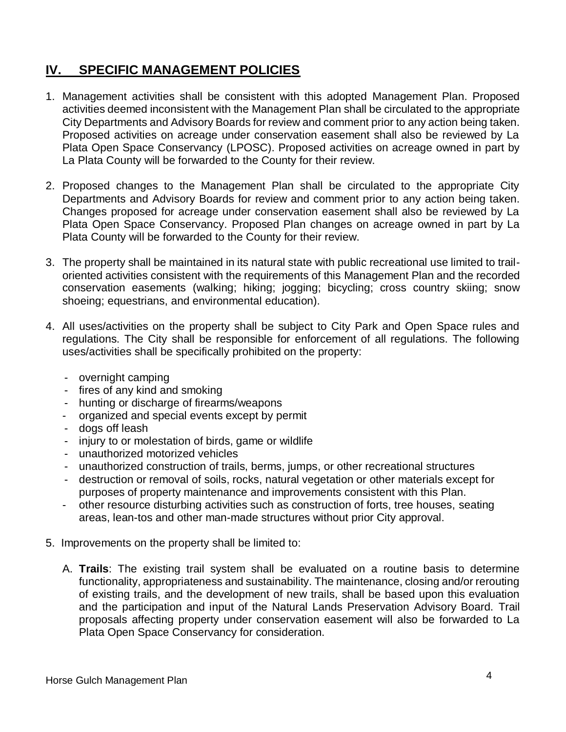## **IV. SPECIFIC MANAGEMENT POLICIES**

- 1. Management activities shall be consistent with this adopted Management Plan. Proposed activities deemed inconsistent with the Management Plan shall be circulated to the appropriate City Departments and Advisory Boards for review and comment prior to any action being taken. Proposed activities on acreage under conservation easement shall also be reviewed by La Plata Open Space Conservancy (LPOSC). Proposed activities on acreage owned in part by La Plata County will be forwarded to the County for their review.
- 2. Proposed changes to the Management Plan shall be circulated to the appropriate City Departments and Advisory Boards for review and comment prior to any action being taken. Changes proposed for acreage under conservation easement shall also be reviewed by La Plata Open Space Conservancy. Proposed Plan changes on acreage owned in part by La Plata County will be forwarded to the County for their review.
- 3. The property shall be maintained in its natural state with public recreational use limited to trailoriented activities consistent with the requirements of this Management Plan and the recorded conservation easements (walking; hiking; jogging; bicycling; cross country skiing; snow shoeing; equestrians, and environmental education).
- 4. All uses/activities on the property shall be subject to City Park and Open Space rules and regulations. The City shall be responsible for enforcement of all regulations. The following uses/activities shall be specifically prohibited on the property:
	- overnight camping
	- fires of any kind and smoking
	- hunting or discharge of firearms/weapons
	- organized and special events except by permit
	- dogs off leash
	- injury to or molestation of birds, game or wildlife
	- unauthorized motorized vehicles
	- unauthorized construction of trails, berms, jumps, or other recreational structures
	- destruction or removal of soils, rocks, natural vegetation or other materials except for purposes of property maintenance and improvements consistent with this Plan.
	- other resource disturbing activities such as construction of forts, tree houses, seating areas, lean-tos and other man-made structures without prior City approval.
- 5. Improvements on the property shall be limited to:
	- A. **Trails**: The existing trail system shall be evaluated on a routine basis to determine functionality, appropriateness and sustainability. The maintenance, closing and/or rerouting of existing trails, and the development of new trails, shall be based upon this evaluation and the participation and input of the Natural Lands Preservation Advisory Board. Trail proposals affecting property under conservation easement will also be forwarded to La Plata Open Space Conservancy for consideration.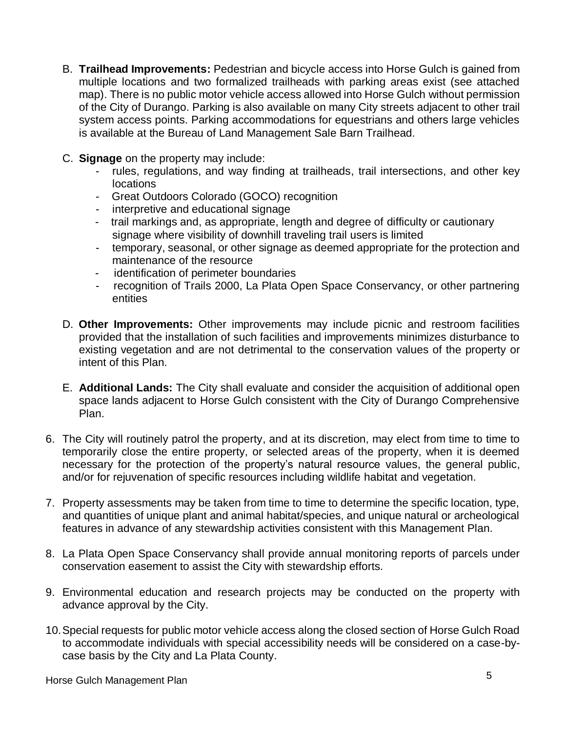- B. **Trailhead Improvements:** Pedestrian and bicycle access into Horse Gulch is gained from multiple locations and two formalized trailheads with parking areas exist (see attached map). There is no public motor vehicle access allowed into Horse Gulch without permission of the City of Durango. Parking is also available on many City streets adjacent to other trail system access points. Parking accommodations for equestrians and others large vehicles is available at the Bureau of Land Management Sale Barn Trailhead.
- C. **Signage** on the property may include:
	- rules, regulations, and way finding at trailheads, trail intersections, and other key locations
	- Great Outdoors Colorado (GOCO) recognition
	- interpretive and educational signage
	- trail markings and, as appropriate, length and degree of difficulty or cautionary signage where visibility of downhill traveling trail users is limited
	- temporary, seasonal, or other signage as deemed appropriate for the protection and maintenance of the resource
	- identification of perimeter boundaries
	- recognition of Trails 2000, La Plata Open Space Conservancy, or other partnering entities
- D. **Other Improvements:** Other improvements may include picnic and restroom facilities provided that the installation of such facilities and improvements minimizes disturbance to existing vegetation and are not detrimental to the conservation values of the property or intent of this Plan.
- E. **Additional Lands:** The City shall evaluate and consider the acquisition of additional open space lands adjacent to Horse Gulch consistent with the City of Durango Comprehensive Plan.
- 6. The City will routinely patrol the property, and at its discretion, may elect from time to time to temporarily close the entire property, or selected areas of the property, when it is deemed necessary for the protection of the property's natural resource values, the general public, and/or for rejuvenation of specific resources including wildlife habitat and vegetation.
- 7. Property assessments may be taken from time to time to determine the specific location, type, and quantities of unique plant and animal habitat/species, and unique natural or archeological features in advance of any stewardship activities consistent with this Management Plan.
- 8. La Plata Open Space Conservancy shall provide annual monitoring reports of parcels under conservation easement to assist the City with stewardship efforts.
- 9. Environmental education and research projects may be conducted on the property with advance approval by the City.
- 10.Special requests for public motor vehicle access along the closed section of Horse Gulch Road to accommodate individuals with special accessibility needs will be considered on a case-bycase basis by the City and La Plata County.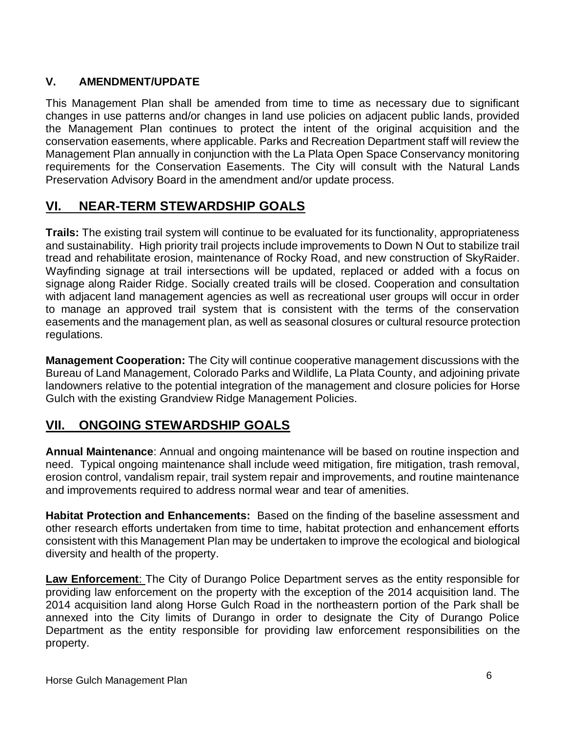#### **V. AMENDMENT/UPDATE**

This Management Plan shall be amended from time to time as necessary due to significant changes in use patterns and/or changes in land use policies on adjacent public lands, provided the Management Plan continues to protect the intent of the original acquisition and the conservation easements, where applicable. Parks and Recreation Department staff will review the Management Plan annually in conjunction with the La Plata Open Space Conservancy monitoring requirements for the Conservation Easements. The City will consult with the Natural Lands Preservation Advisory Board in the amendment and/or update process.

## **VI. NEAR-TERM STEWARDSHIP GOALS**

**Trails:** The existing trail system will continue to be evaluated for its functionality, appropriateness and sustainability. High priority trail projects include improvements to Down N Out to stabilize trail tread and rehabilitate erosion, maintenance of Rocky Road, and new construction of SkyRaider. Wayfinding signage at trail intersections will be updated, replaced or added with a focus on signage along Raider Ridge. Socially created trails will be closed. Cooperation and consultation with adjacent land management agencies as well as recreational user groups will occur in order to manage an approved trail system that is consistent with the terms of the conservation easements and the management plan, as well as seasonal closures or cultural resource protection regulations.

**Management Cooperation:** The City will continue cooperative management discussions with the Bureau of Land Management, Colorado Parks and Wildlife, La Plata County, and adjoining private landowners relative to the potential integration of the management and closure policies for Horse Gulch with the existing Grandview Ridge Management Policies.

#### **VII. ONGOING STEWARDSHIP GOALS**

**Annual Maintenance**: Annual and ongoing maintenance will be based on routine inspection and need. Typical ongoing maintenance shall include weed mitigation, fire mitigation, trash removal, erosion control, vandalism repair, trail system repair and improvements, and routine maintenance and improvements required to address normal wear and tear of amenities.

**Habitat Protection and Enhancements:** Based on the finding of the baseline assessment and other research efforts undertaken from time to time, habitat protection and enhancement efforts consistent with this Management Plan may be undertaken to improve the ecological and biological diversity and health of the property.

**Law Enforcement**: The City of Durango Police Department serves as the entity responsible for providing law enforcement on the property with the exception of the 2014 acquisition land. The 2014 acquisition land along Horse Gulch Road in the northeastern portion of the Park shall be annexed into the City limits of Durango in order to designate the City of Durango Police Department as the entity responsible for providing law enforcement responsibilities on the property.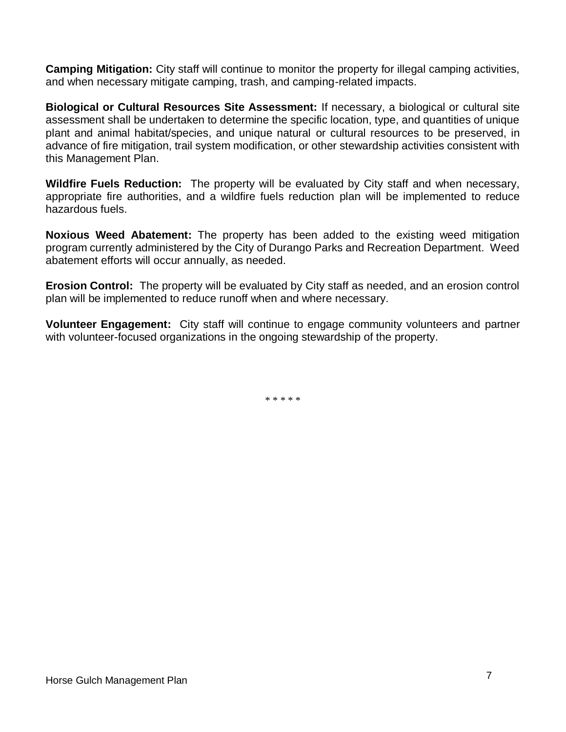**Camping Mitigation:** City staff will continue to monitor the property for illegal camping activities, and when necessary mitigate camping, trash, and camping-related impacts.

**Biological or Cultural Resources Site Assessment:** If necessary, a biological or cultural site assessment shall be undertaken to determine the specific location, type, and quantities of unique plant and animal habitat/species, and unique natural or cultural resources to be preserved, in advance of fire mitigation, trail system modification, or other stewardship activities consistent with this Management Plan.

**Wildfire Fuels Reduction:** The property will be evaluated by City staff and when necessary, appropriate fire authorities, and a wildfire fuels reduction plan will be implemented to reduce hazardous fuels.

**Noxious Weed Abatement:** The property has been added to the existing weed mitigation program currently administered by the City of Durango Parks and Recreation Department. Weed abatement efforts will occur annually, as needed.

**Erosion Control:** The property will be evaluated by City staff as needed, and an erosion control plan will be implemented to reduce runoff when and where necessary.

**Volunteer Engagement:** City staff will continue to engage community volunteers and partner with volunteer-focused organizations in the ongoing stewardship of the property.

\* \* \* \* \*